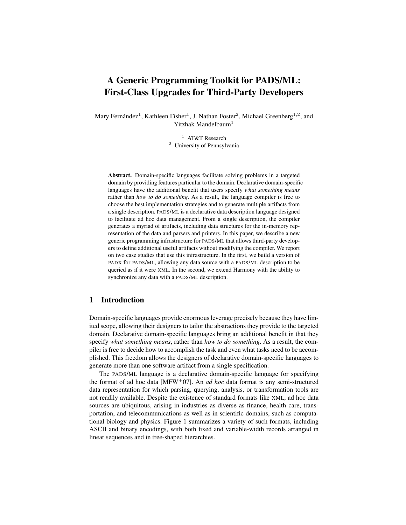# A Generic Programming Toolkit for PADS/ML: First-Class Upgrades for Third-Party Developers

Mary Fernández<sup>1</sup>, Kathleen Fisher<sup>1</sup>, J. Nathan Foster<sup>2</sup>, Michael Greenberg<sup>1,2</sup>, and Yitzhak Mandelbaum<sup>1</sup>

> <sup>1</sup> AT&T Research <sup>2</sup> University of Pennsylvania

Abstract. Domain-specific languages facilitate solving problems in a targeted domain by providing features particular to the domain. Declarative domain-specific languages have the additional benefit that users specify *what something means* rather than *how to do something*. As a result, the language compiler is free to choose the best implementation strategies and to generate multiple artifacts from a single description. PADS/ML is a declarative data description language designed to facilitate ad hoc data management. From a single description, the compiler generates a myriad of artifacts, including data structures for the in-memory representation of the data and parsers and printers. In this paper, we describe a new generic programming infrastructure for PADS/ML that allows third-party developers to define additional useful artifacts without modifying the compiler. We report on two case studies that use this infrastructure. In the first, we build a version of PADX for PADS/ML, allowing any data source with a PADS/ML description to be queried as if it were XML. In the second, we extend Harmony with the ability to synchronize any data with a PADS/ML description.

# 1 Introduction

Domain-specific languages provide enormous leverage precisely because they have limited scope, allowing their designers to tailor the abstractions they provide to the targeted domain. Declarative domain-specific languages bring an additional benefit in that they specify *what something means*, rather than *how to do something*. As a result, the compiler is free to decide how to accomplish the task and even what tasks need to be accomplished. This freedom allows the designers of declarative domain-specific languages to generate more than one software artifact from a single specification.

The PADS/ML language is a declarative domain-specific language for specifying the format of ad hoc data [MFW<sup>+</sup>07]. An *ad hoc* data format is any semi-structured data representation for which parsing, querying, analysis, or transformation tools are not readily available. Despite the existence of standard formats like XML, ad hoc data sources are ubiquitous, arising in industries as diverse as finance, health care, transportation, and telecommunications as well as in scientific domains, such as computational biology and physics. Figure 1 summarizes a variety of such formats, including ASCII and binary encodings, with both fixed and variable-width records arranged in linear sequences and in tree-shaped hierarchies.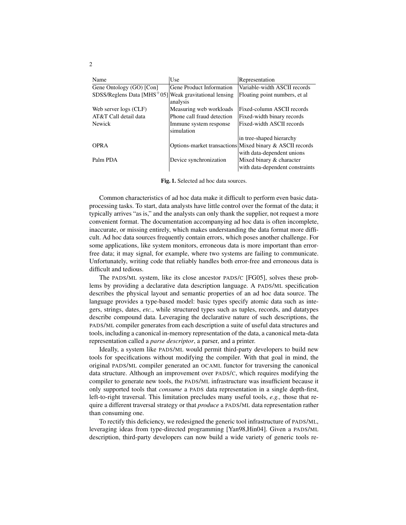| Name                                                    | Use                        | Representation                                           |
|---------------------------------------------------------|----------------------------|----------------------------------------------------------|
| Gene Ontology (GO) [Con]                                | Gene Product Information   | Variable-width ASCII records                             |
| $SDSS/Reglens Data [MHS+05]$ Weak gravitational lensing |                            | Floating point numbers, et al                            |
|                                                         | analysis                   |                                                          |
| Web server logs (CLF)                                   | Measuring web workloads    | Fixed-column ASCII records                               |
| AT&T Call detail data                                   | Phone call fraud detection | Fixed-width binary records                               |
| Newick                                                  | Immune system response     | Fixed-width ASCII records                                |
|                                                         | simulation                 |                                                          |
|                                                         |                            | in tree-shaped hierarchy                                 |
| OPR A                                                   |                            | Options-market transactions Mixed binary & ASCII records |
|                                                         |                            | with data-dependent unions                               |
| Palm PDA                                                | Device synchronization     | Mixed binary & character                                 |
|                                                         |                            | with data-dependent constraints                          |

Fig. 1. Selected ad hoc data sources.

Common characteristics of ad hoc data make it difficult to perform even basic dataprocessing tasks. To start, data analysts have little control over the format of the data; it typically arrives "as is," and the analysts can only thank the supplier, not request a more convenient format. The documentation accompanying ad hoc data is often incomplete, inaccurate, or missing entirely, which makes understanding the data format more difficult. Ad hoc data sources frequently contain errors, which poses another challenge. For some applications, like system monitors, erroneous data is more important than errorfree data; it may signal, for example, where two systems are failing to communicate. Unfortunately, writing code that reliably handles both error-free and erroneous data is difficult and tedious.

The PADS/ML system, like its close ancestor PADS/C [FG05], solves these problems by providing a declarative data description language. A PADS/ML specification describes the physical layout and semantic properties of an ad hoc data source. The language provides a type-based model: basic types specify atomic data such as integers, strings, dates, *etc.*, while structured types such as tuples, records, and datatypes describe compound data. Leveraging the declarative nature of such descriptions, the PADS/ML compiler generates from each description a suite of useful data structures and tools, including a canonical in-memory representation of the data, a canonical meta-data representation called a *parse descriptor*, a parser, and a printer.

Ideally, a system like PADS/ML would permit third-party developers to build new tools for specifications without modifying the compiler. With that goal in mind, the original PADS/ML compiler generated an OCAML functor for traversing the canonical data structure. Although an improvement over PADS/C, which requires modifying the compiler to generate new tools, the PADS/ML infrastructure was insufficient because it only supported tools that *consume* a PADS data representation in a single depth-first, left-to-right traversal. This limitation precludes many useful tools, *e.g.,* those that require a different traversal strategy or that *produce* a PADS/ML data representation rather than consuming one.

To rectify this deficiency, we redesigned the generic tool infrastructure of PADS/ML, leveraging ideas from type-directed programming [Yan98,Hin04]. Given a PADS/ML description, third-party developers can now build a wide variety of generic tools re-

 $\mathfrak{D}$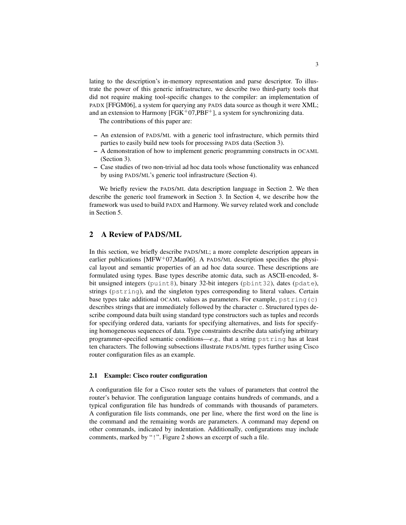lating to the description's in-memory representation and parse descriptor. To illustrate the power of this generic infrastructure, we describe two third-party tools that did not require making tool-specific changes to the compiler: an implementation of PADX [FFGM06], a system for querying any PADS data source as though it were XML; and an extension to Harmony  $[FGK^+07, PBF^+]$ , a system for synchronizing data.

The contributions of this paper are:

- An extension of PADS/ML with a generic tool infrastructure, which permits third parties to easily build new tools for processing PADS data (Section 3).
- A demonstration of how to implement generic programming constructs in OCAML (Section 3).
- Case studies of two non-trivial ad hoc data tools whose functionality was enhanced by using PADS/ML's generic tool infrastructure (Section 4).

We briefly review the PADS/ML data description language in Section 2. We then describe the generic tool framework in Section 3. In Section 4, we describe how the framework was used to build PADX and Harmony. We survey related work and conclude in Section 5.

## 2 A Review of PADS/ML

In this section, we briefly describe PADS/ML; a more complete description appears in earlier publications [MFW+07, Man06]. A PADS/ML description specifies the physical layout and semantic properties of an ad hoc data source. These descriptions are formulated using types. Base types describe atomic data, such as ASCII-encoded, 8 bit unsigned integers (puint8), binary 32-bit integers (pbint32), dates (pdate), strings (pstring), and the singleton types corresponding to literal values. Certain base types take additional OCAML values as parameters. For example,  $pstring(c)$ describes strings that are immediately followed by the character c. Structured types describe compound data built using standard type constructors such as tuples and records for specifying ordered data, variants for specifying alternatives, and lists for specifying homogeneous sequences of data. Type constraints describe data satisfying arbitrary programmer-specified semantic conditions—*e.g.,* that a string pstring has at least ten characters. The following subsections illustrate PADS/ML types further using Cisco router configuration files as an example.

#### 2.1 Example: Cisco router configuration

A configuration file for a Cisco router sets the values of parameters that control the router's behavior. The configuration language contains hundreds of commands, and a typical configuration file has hundreds of commands with thousands of parameters. A configuration file lists commands, one per line, where the first word on the line is the command and the remaining words are parameters. A command may depend on other commands, indicated by indentation. Additionally, configurations may include comments, marked by "!". Figure 2 shows an excerpt of such a file.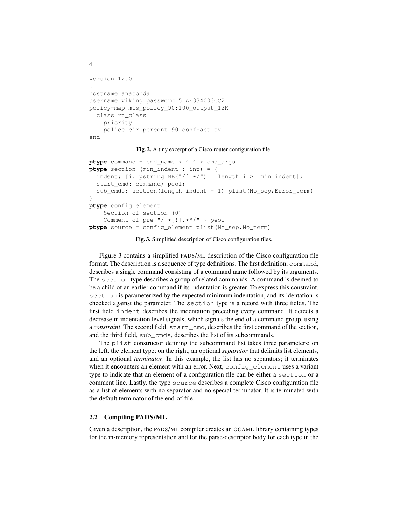```
version 12.0
!
hostname anaconda
username viking password 5 AF334003CC2
policy-map mis_policy_90:100_output_12K
  class rt_class
    priority
    police cir percent 90 conf-act tx
end
```
4

#### Fig. 2. A tiny excerpt of a Cisco router configuration file.

```
ptype command = cmd_name * ' ' * cmd_args
ptype section (min_indent : int) = {
  indent: [i: pstring_ME("/^ */") | length i >= min_indent];
  start_cmd: command; peol;
  sub_cmds: section(length indent + 1) plist(No_sep,Error_term)
}
ptype config_element =
    Section of section (0)
  | Comment of pre "/ *[!].*$/" * peol
ptype source = config_element plist(No_sep,No_term)
```
Fig. 3. Simplified description of Cisco configuration files.

Figure 3 contains a simplified PADS/ML description of the Cisco configuration file format. The description is a sequence of type definitions. The first definition, command, describes a single command consisting of a command name followed by its arguments. The section type describes a group of related commands. A command is deemed to be a child of an earlier command if its indentation is greater. To express this constraint, section is parameterized by the expected minimum indentation, and its identation is checked against the parameter. The section type is a record with three fields. The first field indent describes the indentation preceding every command. It detects a decrease in indentation level signals, which signals the end of a command group, using a *constraint*. The second field, start\_cmd, describes the first command of the section, and the third field, sub\_cmds, describes the list of its subcommands.

The plist constructor defining the subcommand list takes three parameters: on the left, the element type; on the right, an optional *separator* that delimits list elements, and an optional *terminator*. In this example, the list has no separators; it terminates when it encounters an element with an error. Next, config element uses a variant type to indicate that an element of a configuration file can be either a section or a comment line. Lastly, the type source describes a complete Cisco configuration file as a list of elements with no separator and no special terminator. It is terminated with the default terminator of the end-of-file.

#### 2.2 Compiling PADS/ML

Given a description, the PADS/ML compiler creates an OCAML library containing types for the in-memory representation and for the parse-descriptor body for each type in the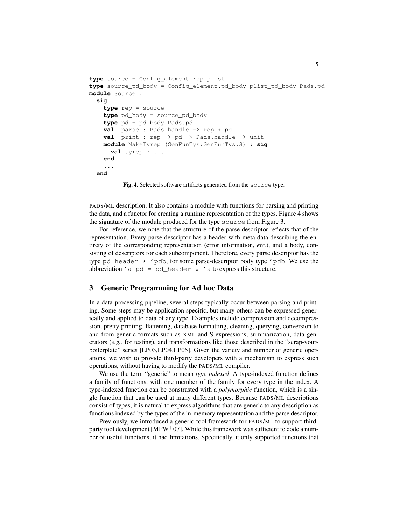```
type source = Config_element.rep plist
type source_pd_body = Config_element.pd_body plist_pd_body Pads.pd
module Source :
 sig
   type rep = source
   type pd_body = source_pd_body
   type pd = pd_body Pads.pd
   val parse : Pads.handle -> rep * pd
   val print : rep -> pd -> Pads.handle -> unit
   module MakeTyrep (GenFunTys:GenFunTys.S) : sig
     val tyrep : ...
    end
    ...
 end
```
Fig. 4. Selected software artifacts generated from the source type.

PADS/ML description. It also contains a module with functions for parsing and printing the data, and a functor for creating a runtime representation of the types. Figure 4 shows the signature of the module produced for the type source from Figure 3.

For reference, we note that the structure of the parse descriptor reflects that of the representation. Every parse descriptor has a header with meta data describing the entirety of the corresponding representation (error information, *etc.*), and a body, consisting of descriptors for each subcomponent. Therefore, every parse descriptor has the type pd\_header  $\star$  'pdb, for some parse-descriptor body type 'pdb. We use the abbreviation 'a pd = pd\_header  $\star$  'a to express this structure.

## 3 Generic Programming for Ad hoc Data

In a data-processing pipeline, several steps typically occur between parsing and printing. Some steps may be application specific, but many others can be expressed generically and applied to data of any type. Examples include compression and decompression, pretty printing, flattening, database formatting, cleaning, querying, conversion to and from generic formats such as XML and S-expressions, summarization, data generators (*e.g.,* for testing), and transformations like those described in the "scrap-yourboilerplate" series [LP03,LP04,LP05]. Given the variety and number of generic operations, we wish to provide third-party developers with a mechanism to express such operations, without having to modify the PADS/ML compiler.

We use the term "generic" to mean *type indexed*. A type-indexed function defines a family of functions, with one member of the family for every type in the index. A type-indexed function can be constrasted with a *polymorphic* function, which is a single function that can be used at many different types. Because PADS/ML descriptions consist of types, it is natural to express algorithms that are generic to any description as functions indexed by the types of the in-memory representation and the parse descriptor.

Previously, we introduced a generic-tool framework for PADS/ML to support thirdparty tool development [MFW+07]. While this framework was sufficient to code a number of useful functions, it had limitations. Specifically, it only supported functions that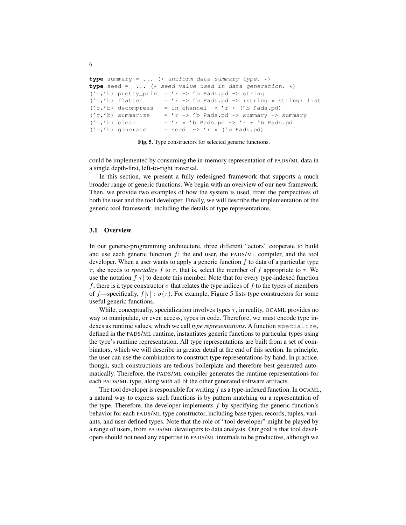```
type summary = ... (* uniform data summary type. *)
type seed = ... (* seed value used in data generation. *)
('r, 'b) pretty_print = 'r -> 'b Pads.pd -> string
('r, 'b) flatten = 'r -> 'b Pads.pd -> (string * string) list
('r, 'b) decompress = in_channel -> 'r \times ('b Pads.pd)<br>('r, 'b) summarize = 'r \rightarrow 'b Pads.pd -> summary ->
                       = 'r -> 'b Pads.pd -> summary -> summary
('r, 'b) clean = 'r * 'b Pads.pd -> 'r * 'b Pads.pd
('r, 'b) generate = seed -> 'r * ('b Pads.pd)
```
Fig. 5. Type constructors for selected generic functions.

could be implemented by consuming the in-memory representation of PADS/ML data in a single depth-first, left-to-right traversal.

In this section, we present a fully redesigned framework that supports a much broader range of generic functions. We begin with an overview of our new framework. Then, we provide two examples of how the system is used, from the perspectives of both the user and the tool developer. Finally, we will describe the implementation of the generic tool framework, including the details of type representations.

#### 3.1 Overview

6

In our generic-programming architecture, three different "actors" cooperate to build and use each generic function  $f$ : the end user, the PADS/ML compiler, and the tool developer. When a user wants to apply a generic function  $f$  to data of a particular type  $\tau$ , she needs to *specialize* f to  $\tau$ , that is, select the member of f appropriate to  $\tau$ . We use the notation  $f[\tau]$  to denote this member. Note that for every type-indexed function f, there is a type constructor  $\sigma$  that relates the type indices of f to the types of members of f—specifically,  $f[\tau] : \sigma(\tau)$ . For example, Figure 5 lists type constructors for some useful generic functions.

While, conceptually, specialization involves types  $\tau$ , in reality, OCAML provides no way to manipulate, or even access, types in code. Therefore, we must encode type indexes as runtime values, which we call *type representations*. A function specialize, defined in the PADS/ML runtime, instantiates generic functions to particular types using the type's runtime representation. All type representations are built from a set of combinators, which we will describe in greater detail at the end of this section. In principle, the user can use the combinators to construct type representations by hand. In practice, though, such constructions are tedious boilerplate and therefore best generated automatically. Therefore, the PADS/ML compiler generates the runtime representations for each PADS/ML type, along with all of the other generated software artifacts.

The tool developer is responsible for writing  $f$  as a type-indexed function. In OCAML, a natural way to express such functions is by pattern matching on a representation of the type. Therefore, the developer implements  $f$  by specifying the generic function's behavior for each PADS/ML type constructor, including base types, records, tuples, variants, and user-defined types. Note that the role of "tool developer" might be played by a range of users, from PADS/ML developers to data analysts. Our goal is that tool developers should not need any expertise in PADS/ML internals to be productive, although we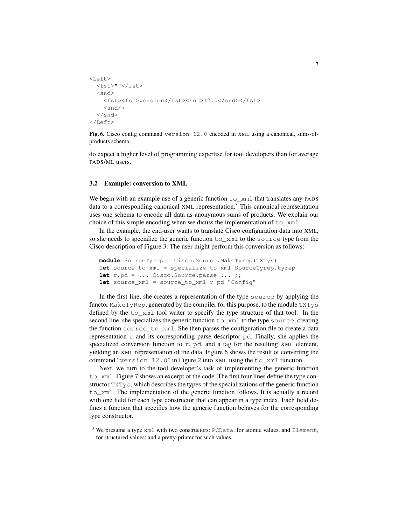```
<Left>
  <fst>""</fst>
  <snd>
     <fst><fst>version</fst><snd>12.0</snd></fst>
     \langlesnd\rangle\langle/snd\rangle</Left>
```
Fig. 6. Cisco config command version 12.0 encoded in XML using a canonical, sums-ofproducts schema.

do expect a higher level of programming expertise for tool developers than for average PADS/ML users.

#### 3.2 Example: conversion to XML

We begin with an example use of a generic function  $\text{to\_xml}$  that translates any PADS data to a corresponding canonical XML representation.<sup>3</sup> This canonical representation uses one schema to encode all data as anonymous sums of products. We explain our choice of this simple encoding when we dicuss the implementation of  $\text{to\_xm}1$ .

In the example, the end-user wants to translate Cisco configuration data into XML, so she needs to specialize the generic function  $\pm \circ$  xml to the source type from the Cisco description of Figure 3. The user might perform this conversion as follows:

```
module SourceTyrep = Cisco.Source.MakeTyrep(TXTys)
let source to xml = specialize to xml SourceTyrep.tyrep
let r,pd = ... Cisco.Source.parse ... ;;
let source_xml = source_to_xml r pd "Config"
```
In the first line, she creates a representation of the type source by applying the functor MakeTyRep, generated by the compiler for this purpose, to the module TXTys defined by the to\_xml tool writer to specify the type structure of that tool. In the second line, she specializes the generic function to\_xml to the type source, creating the function source\_to\_xml. She then parses the configuration file to create a data representation  $r$  and its corresponding parse descriptor  $pd$ . Finally, she applies the specialized conversion function to  $r$ , pd, and a tag for the resulting XML element, yielding an XML representation of the data. Figure 6 shows the result of converting the command "version 12.0" in Figure 2 into XML using the to\_xml function.

Next, we turn to the tool developer's task of implementing the generic function to  $xml$ . Figure 7 shows an excerpt of the code. The first four lines define the type constructor TXTys, which describes the types of the specializations of the generic function to\_xml. The implementation of the generic function follows. It is actually a record with one field for each type constructor that can appear in a type index. Each field defines a function that specifies how the generic function behaves for the corresponding type constructor.

 $3$  We presume a type xml with two constructors: PCData, for atomic values, and Element, for structured values; and a pretty-printer for such values.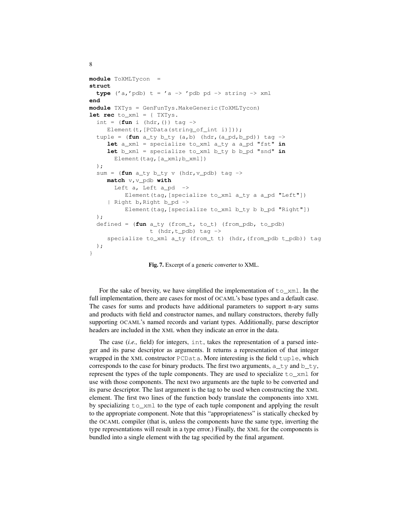```
module ToXMLTycon =
struct
  type ('a,'pdb) t = 'a \rightarrow 'pdb pd \rightarrow string \rightarrow xml
end
module TXTys = GenFunTys.MakeGeneric(ToXMLTycon)
let rec to_xml = \{ TXTys.
  int = (fun i (hdr,()) tag \rightarrowElement(t, [PCData(string of int i)]));
  tuple = (fun a_t y b_t y (a,b) (hdr, (a_p d, b_p d)) tag -let a_xml = specialize to_xml a_ty a a_pd "fst" in
     let b_xml = specialize to_xml b_ty b b_pd "snd" in
       Element(tag, [a_xml;b_xml])
  );
  sum = (fun a_t v b_t v v (hdr, v_pdb) taq ->
     match v,v_pdb with
       Left a, Left a_pd ->
          Element(tag,[specialize to_xml a_ty a a_pd "Left"])
     | Right b,Right b_pd ->
           Element(tag, [specialize to_xml b_ty b b_pd "Right"])
  );
  defined = (fun a_ty (from_t, to_t) (from_pdb, to_pdb)
                  t (hdr, t pdb) tag \rightarrowspecialize to_xml a_ty (from_t t) (hdr,(from_pdb t_pdb)) tag
  );
}
```
Fig. 7. Excerpt of a generic converter to XML.

For the sake of brevity, we have simplified the implementation of  $\text{to\_xml}$ . In the full implementation, there are cases for most of OCAML's base types and a default case. The cases for sums and products have additional parameters to support n-ary sums and products with field and constructor names, and nullary constructors, thereby fully supporting OCAML's named records and variant types. Additionally, parse descriptor headers are included in the XML when they indicate an error in the data.

The case (*i.e.,* field) for integers, int, takes the representation of a parsed integer and its parse descriptor as arguments. It returns a representation of that integer wrapped in the XML constructor PCData. More interesting is the field tuple, which corresponds to the case for binary products. The first two arguments,  $a_t y$  and  $b_t y$ , represent the types of the tuple components. They are used to specialize to\_xml for use with those components. The next two arguments are the tuple to be converted and its parse descriptor. The last argument is the tag to be used when constructing the XML element. The first two lines of the function body translate the components into XML by specializing  $\pm \circ$  xml to the type of each tuple component and applying the result to the appropriate component. Note that this "appropriateness" is statically checked by the OCAML compiler (that is, unless the components have the same type, inverting the type representations will result in a type error.) Finally, the XML for the components is bundled into a single element with the tag specified by the final argument.

8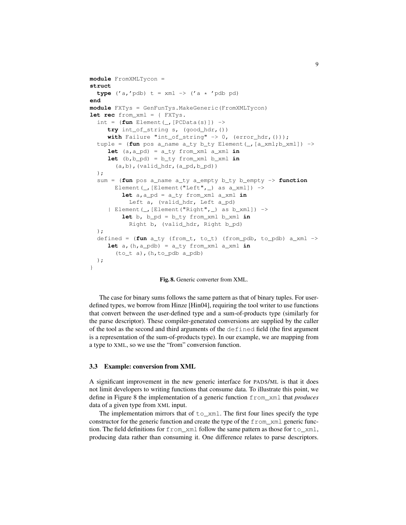```
module FromXMLTycon =
struct
  type ('a, 'pdb) t = xml \rightarrow ('a * 'pdb pd)end
module FXTys = GenFunTys.MakeGeneric(FromXMLTycon)
let rec from_xml = { FXTys.
  int = (fun Element(\_,[PCData(s)]) \rightarrowtry int of string s, (good hdr,())
     with Failure "int_of_string" -> 0, (error_hdr,()));
  tuple = (fun pos a_name a_ty b_ty Element(_,[a_xml;b_xml]) ->
     let (a,a_pd) = a_ty from_xml a_xml in
     let (b,b_pd) = b_ty from_xml b_xml in
       (a,b), (valid_hdr, (a_p, b_p))
  );
  sum = (fun pos a_name a_ty a_empty b_ty b_empty -> function
       Element(_, [Element("Left", _) as a_xml]) ->
         let a,a_pd = a_ty from_xml a_xml in
           Left a, (valid_hdr, Left a_pd)
     | Element(_,[Element("Right",_) as b_xml]) ->
         let b, b_pd = b_ty from_xml b_xml in
           Right b, (valid_hdr, Right b_pd)
  );
  defined = (fun a_ty (from_t, to_t) (from_pdb, to_pdb) a_xml ->
     let a,(h,a_pdb) = a_ty from_xml a_xml in
       (to_t a),(h,to_pdb a_pdb)
  );
}
```
Fig. 8. Generic converter from XML.

The case for binary sums follows the same pattern as that of binary tuples. For userdefined types, we borrow from Hinze [Hin04], requiring the tool writer to use functions that convert between the user-defined type and a sum-of-products type (similarly for the parse descriptor). These compiler-generated conversions are supplied by the caller of the tool as the second and third arguments of the defined field (the first argument is a representation of the sum-of-products type). In our example, we are mapping from a type to XML, so we use the "from" conversion function.

#### 3.3 Example: conversion from XML

A significant improvement in the new generic interface for PADS/ML is that it does not limit developers to writing functions that consume data. To illustrate this point, we define in Figure 8 the implementation of a generic function from\_xml that *produces* data of a given type from XML input.

The implementation mirrors that of  $\text{to\_xml}$ . The first four lines specify the type constructor for the generic function and create the type of the  $f_{\text{r}}$  cm  $\text{cm}$  generic function. The field definitions for from\_xml follow the same pattern as those for to\_xml, producing data rather than consuming it. One difference relates to parse descriptors.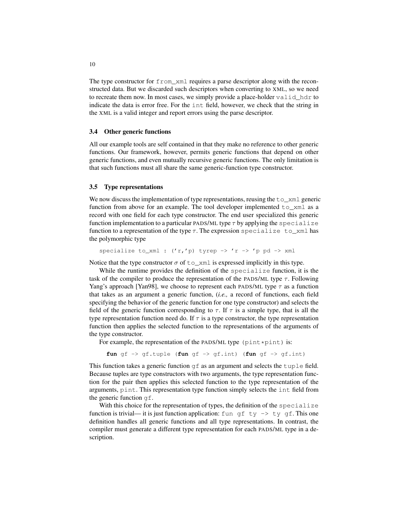The type constructor for  $from\_xml$  requires a parse descriptor along with the reconstructed data. But we discarded such descriptors when converting to XML, so we need to recreate them now. In most cases, we simply provide a place-holder valid hdr to indicate the data is error free. For the int field, however, we check that the string in the XML is a valid integer and report errors using the parse descriptor.

#### 3.4 Other generic functions

All our example tools are self contained in that they make no reference to other generic functions. Our framework, however, permits generic functions that depend on other generic functions, and even mutually recursive generic functions. The only limitation is that such functions must all share the same generic-function type constructor.

#### 3.5 Type representations

We now discuss the implementation of type representations, reusing the  $\pm \circ \times m$  generic function from above for an example. The tool developer implemented to\_xml as a record with one field for each type constructor. The end user specialized this generic function implementation to a particular PADS/ML type  $\tau$  by applying the specialize function to a representation of the type  $\tau$ . The expression specialize to  $\text{cm}$  has the polymorphic type

specialize to\_xml :  $('r, 'p)$  tyrep -> 'r -> 'p pd -> xml

Notice that the type constructor  $\sigma$  of  $\tau$  o\_xml is expressed implicitly in this type.

While the runtime provides the definition of the specialize function, it is the task of the compiler to produce the representation of the PADS/ML type  $\tau$ . Following Yang's approach [Yan98], we choose to represent each PADS/ML type  $\tau$  as a function that takes as an argument a generic function, (*i.e.,* a record of functions, each field specifying the behavior of the generic function for one type constructor) and selects the field of the generic function corresponding to  $\tau$ . If  $\tau$  is a simple type, that is all the type representation function need do. If  $\tau$  is a type constructor, the type representation function then applies the selected function to the representations of the arguments of the type constructor.

For example, the representation of the PADS/ML type (pint\*pint) is:

**fun** gf -> gf.tuple (**fun** gf -> gf.int) (**fun** gf -> gf.int)

This function takes a generic function  $\sigma f$  as an argument and selects the tuple field. Because tuples are type constructors with two arguments, the type representation function for the pair then applies this selected function to the type representation of the arguments, pint. This representation type function simply selects the int field from the generic function gf.

With this choice for the representation of types, the definition of the specialize function is trivial— it is just function application: fun gf ty  $\rightarrow$  ty gf. This one definition handles all generic functions and all type representations. In contrast, the compiler must generate a different type representation for each PADS/ML type in a description.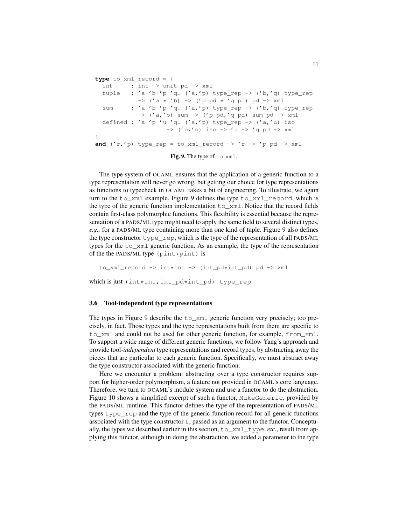```
type to_xml_record = {
  int : int -> unit pd -> xml
  tuple : 'a 'b 'p 'q. ('a,'p) type_rep -> ('b,'q) type_rep
              \rightarrow ('a * 'b) \rightarrow ('p pd * 'q pd) pd \rightarrow xml
  sum : 'a 'b 'p 'q. ('a,'p) type_rep -> ('b,'q) type_rep
              \rightarrow ('a,'b) sum \rightarrow ('p pd,'q pd) sum pd \rightarrow xml
  defined : 'a 'p 'u 'q. ('a,'p) type_rep -> ('a,'u) iso
                        \rightarrow ('p,'q) iso -> 'u -> 'q pd -> xml
}
and ('r,'p) type_rep = to_xml_record \rightarrow 'r \rightarrow 'p pd \rightarrow xml
                         Fig. 9. The type of to_xml.
```
The type system of OCAML ensures that the application of a generic function to a type representation will never go wrong, but getting our choice for type representations as functions to typecheck in OCAML takes a bit of engineering. To illustrate, we again turn to the to\_xml example. Figure 9 defines the type to\_xml\_record, which is the type of the generic function implementation  $\tau \circ \mathbf{x}$ ml. Notice that the record fields contain first-class polymorphic functions. This flexibility is essential because the representation of a PADS/ML type might need to apply the same field to several distinct types, *e.g.,* for a PADS/ML type containing more than one kind of tuple. Figure 9 also defines the type constructor  $type\_rep$ , which is the type of the representation of all PADS/ML types for the to\_xml generic function. As an example, the type of the representation of the the PADS/ML type (pint  $\star$ pint) is

to\_xml\_record  $\rightarrow$  int\*int  $\rightarrow$  (int\_pd\*int\_pd) pd  $\rightarrow$  xml which is just (int\*int, int\_pd\*int\_pd) type\_rep.

#### 3.6 Tool-independent type representations

The types in Figure 9 describe the to\_xml generic function very precisely; too precisely, in fact. Those types and the type representations built from them are specific to to  $x$ ml and could not be used for other generic function, for example, from  $x$ ml. To support a wide range of different generic functions, we follow Yang's approach and provide tool-*independent* type representations and record types, by abstracting away the pieces that are particular to each generic function. Specifically, we must abstract away the type constructor associated with the generic function.

Here we encounter a problem: abstracting over a type constructor requires support for higher-order polymorphism, a feature not provided in OCAML's core language. Therefore, we turn to OCAML's module system and use a functor to do the abstraction. Figure 10 shows a simplified excerpt of such a functor, MakeGeneric, provided by the PADS/ML runtime. This functor defines the type of the representation of PADS/ML types  $type$  rep and the type of the generic-function record for all generic functions associated with the type constructor  $t$ , passed as an argument to the functor. Conceptually, the types we described earlier in this section, to\_xml\_type, *etc.*, result from applying this functor, although in doing the abstraction, we added a parameter to the type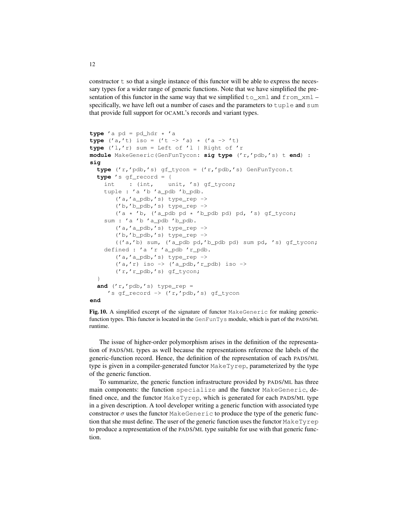constructor  $t$  so that a single instance of this functor will be able to express the necessary types for a wider range of generic functions. Note that we have simplified the presentation of this functor in the same way that we simplified  $\text{to\_xml}$  and  $\text{from\_xml}$  – specifically, we have left out a number of cases and the parameters to tuple and sum that provide full support for OCAML's records and variant types.

```
type 'a pd = pd\_hdr * 'a
type ('a, 't) iso = ('t -> 'a) * ('a -> 't)type ('l,'r) sum = Left of 'l | Right of 'r
module MakeGeneric(GenFunTycon: sig type ('r,'pdb,'s) t end) :
sig
  type ('r,'pdb,'s) gf_tycon = ('r,'pdb,'s) GenFunTycon.t
  type 's gf_record = {
   int : (int, unit, 's) gf_tycon;
    tuple : 'a 'b 'a_pdb 'b_pdb.
       ('a,'a_pdb,'s) type_rep ->
       ('b,'b_pdb,'s) type_rep ->
       ('a * 'b, ('a_pdb pd * 'b_pdb pd) pd, 's) qf_tycon;sum : 'a 'b 'a_pdb 'b_pdb.
       ('a,'a_pdb,'s) type_rep ->
       ('b,'b_pdb,'s) type_rep ->
       (('a,'b) sum, ('a_pdb pd,'b_pdb pd) sum pd, 's) gf_tycon;
    defined : 'a 'r 'a_pdb 'r_pdb.
       ('a,'a_pdb,'s) type_rep ->
       ('a,'r) iso \rightarrow ('a_pdb,'r_pdb) iso \rightarrow('r,'r_pdb,'s) gf_tycon;
  }
  and ('r,'pdb,'s) type_rep =
     's gf_record -> ('r,'pdb,'s) gf_tycon
end
```
Fig. 10. A simplified excerpt of the signature of functor MakeGeneric for making genericfunction types. This functor is located in the GenFunTys module, which is part of the PADS/ML runtime.

The issue of higher-order polymorphism arises in the definition of the representation of PADS/ML types as well because the representations reference the labels of the generic-function record. Hence, the definition of the representation of each PADS/ML type is given in a compiler-generated functor MakeTyrep, parameterized by the type of the generic function.

To summarize, the generic function infrastructure provided by PADS/ML has three main components: the function specialize and the functor MakeGeneric, defined once, and the functor MakeTyrep, which is generated for each PADS/ML type in a given description. A tool developer writing a generic function with associated type constructor  $\sigma$  uses the functor MakeGeneric to produce the type of the generic function that she must define. The user of the generic function uses the functor  $\text{MakeType}$ to produce a representation of the PADS/ML type suitable for use with that generic function.

12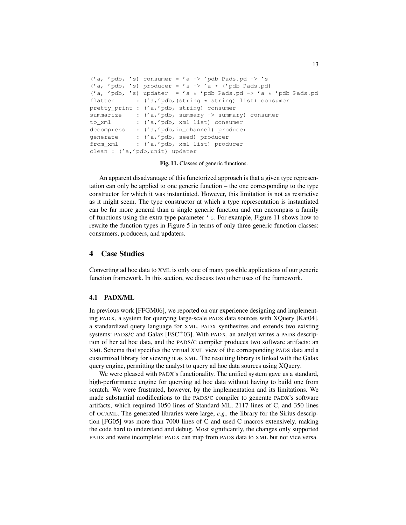```
('a, 'pdb, 's) consumer = 'a \rightarrow 'pdb Pads.pd \rightarrow 's('a, 'pdb, 's) product = 's -> 'a * ('pdb Pads.pdf)('a, 'pdb, 's) updater = 'a * 'pdb Pads.pd -> 'a * 'pdb Pads.pd
flatten : ('a,'pdb,(string * string) list) consumer
pretty_print : ('a,'pdb, string) consumer
summarize : ('a,'pdb, summary -> summary) consumer
to_xml : ('a,'pdb, xml list) consumer
decompress : ('a,'pdb,in_channel) producer
generate : ('a,'pdb, seed) producer
from_xml : ('a,'pdb, xml list) producer
clean : ('a,'pdb,unit) updater
```
Fig. 11. Classes of generic functions.

An apparent disadvantage of this functorized approach is that a given type representation can only be applied to one generic function – the one corresponding to the type constructor for which it was instantiated. However, this limitation is not as restrictive as it might seem. The type constructor at which a type representation is instantiated can be far more general than a single generic function and can encompass a family of functions using the extra type parameter 's. For example, Figure 11 shows how to rewrite the function types in Figure 5 in terms of only three generic function classes: consumers, producers, and updaters.

## 4 Case Studies

Converting ad hoc data to XML is only one of many possible applications of our generic function framework. In this section, we discuss two other uses of the framework.

#### 4.1 PADX/ML

In previous work [FFGM06], we reported on our experience designing and implementing PADX, a system for querying large-scale PADS data sources with XQuery [Kat04], a standardized query language for XML. PADX synthesizes and extends two existing systems: PADS/C and Galax  $[FSC+03]$ . With PADX, an analyst writes a PADS description of her ad hoc data, and the PADS/C compiler produces two software artifacts: an XML Schema that specifies the virtual XML view of the corresponding PADS data and a customized library for viewing it as XML. The resulting library is linked with the Galax query engine, permitting the analyst to query ad hoc data sources using XQuery.

We were pleased with PADX's functionality. The unified system gave us a standard, high-performance engine for querying ad hoc data without having to build one from scratch. We were frustrated, however, by the implementation and its limitations. We made substantial modifications to the PADS/C compiler to generate PADX's software artifacts, which required 1050 lines of Standard-ML, 2117 lines of C, and 350 lines of OCAML. The generated libraries were large, *e.g.,* the library for the Sirius description [FG05] was more than 7000 lines of C and used C macros extensively, making the code hard to understand and debug. Most significantly, the changes only supported PADX and were incomplete: PADX can map from PADS data to XML but not vice versa.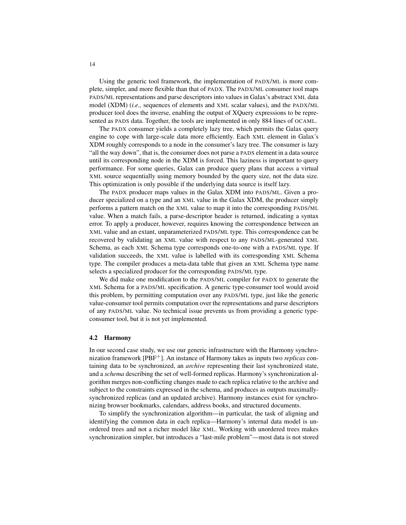Using the generic tool framework, the implementation of PADX/ML is more complete, simpler, and more flexible than that of PADX. The PADX/ML consumer tool maps PADS/ML representations and parse descriptors into values in Galax's abstract XML data model (XDM) (*i.e.,* sequences of elements and XML scalar values), and the PADX/ML producer tool does the inverse, enabling the output of XQuery expressions to be represented as PADS data. Together, the tools are implemented in only 884 lines of OCAML.

The PADX consumer yields a completely lazy tree, which permits the Galax query engine to cope with large-scale data more efficiently. Each XML element in Galax's XDM roughly corresponds to a node in the consumer's lazy tree. The consumer is lazy "all the way down", that is, the consumer does not parse a PADS element in a data source until its corresponding node in the XDM is forced. This laziness is important to query performance. For some queries, Galax can produce query plans that access a virtual XML source sequentially using memory bounded by the query size, not the data size. This optimization is only possible if the underlying data source is itself lazy.

The PADX producer maps values in the Galax XDM into PADS/ML. Given a producer specialized on a type and an XML value in the Galax XDM, the producer simply performs a pattern match on the XML value to map it into the corresponding PADS/ML value. When a match fails, a parse-descriptor header is returned, indicating a syntax error. To apply a producer, however, requires knowing the correspondence between an XML value and an extant, unparameterized PADS/ML type. This correspondence can be recovered by validating an XML value with respect to any PADS/ML-generated XML Schema, as each XML Schema type corresponds one-to-one with a PADS/ML type. If validation succeeds, the XML value is labelled with its corresponding XML Schema type. The compiler produces a meta-data table that given an XML Schema type name selects a specialized producer for the corresponding PADS/ML type.

We did make one modification to the PADS/ML compiler for PADX to generate the XML Schema for a PADS/ML specification. A generic type-consumer tool would avoid this problem, by permitting computation over any PADS/ML type, just like the generic value-consumer tool permits computation over the representations and parse descriptors of any PADS/ML value. No technical issue prevents us from providing a generic typeconsumer tool, but it is not yet implemented.

#### 4.2 Harmony

In our second case study, we use our generic infrastructure with the Harmony synchronization framework [PBF<sup>+</sup>]. An instance of Harmony takes as inputs two *replicas* containing data to be synchronized, an *archive* representing their last synchronized state, and a *schema* describing the set of well-formed replicas. Harmony's synchronization algorithm merges non-conflicting changes made to each replica relative to the archive and subject to the constraints expressed in the schema, and produces as outputs maximallysynchronized replicas (and an updated archive). Harmony instances exist for synchronizing browser bookmarks, calendars, address books, and structured documents.

To simplify the synchronization algorithm—in particular, the task of aligning and identifying the common data in each replica—Harmony's internal data model is unordered trees and not a richer model like XML. Working with unordered trees makes synchronization simpler, but introduces a "last-mile problem"—most data is not stored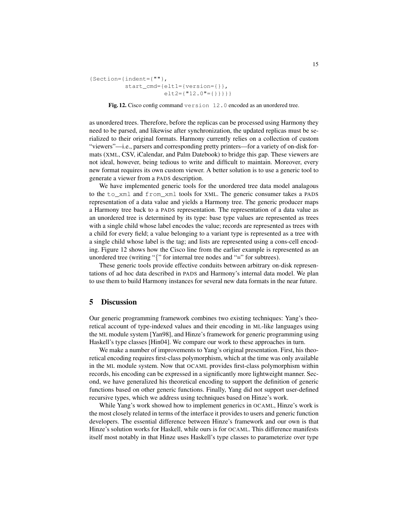```
{Section={indent={""},
          start_cmd={elt1={version={}},
                     elt2={"12.0"={}}}}}
```
Fig. 12. Cisco config command version 12.0 encoded as an unordered tree.

as unordered trees. Therefore, before the replicas can be processed using Harmony they need to be parsed, and likewise after synchronization, the updated replicas must be serialized to their original formats. Harmony currently relies on a collection of custom "viewers"—i.e., parsers and corresponding pretty printers—for a variety of on-disk formats (XML, CSV, iCalendar, and Palm Datebook) to bridge this gap. These viewers are not ideal, however, being tedious to write and difficult to maintain. Moreover, every new format requires its own custom viewer. A better solution is to use a generic tool to generate a viewer from a PADS description.

We have implemented generic tools for the unordered tree data model analagous to the to\_xml and from\_xml tools for XML. The generic consumer takes a PADS representation of a data value and yields a Harmony tree. The generic producer maps a Harmony tree back to a PADS representation. The representation of a data value as an unordered tree is determined by its type: base type values are represented as trees with a single child whose label encodes the value; records are represented as trees with a child for every field; a value belonging to a variant type is represented as a tree with a single child whose label is the tag; and lists are represented using a cons-cell encoding. Figure 12 shows how the Cisco line from the earlier example is represented as an unordered tree (writing "{" for internal tree nodes and "=" for subtrees).

These generic tools provide effective conduits between arbitrary on-disk representations of ad hoc data described in PADS and Harmony's internal data model. We plan to use them to build Harmony instances for several new data formats in the near future.

# 5 Discussion

Our generic programming framework combines two existing techniques: Yang's theoretical account of type-indexed values and their encoding in ML-like languages using the ML module system [Yan98], and Hinze's framework for generic programming using Haskell's type classes [Hin04]. We compare our work to these approaches in turn.

We make a number of improvements to Yang's original presentation. First, his theoretical encoding requires first-class polymorphism, which at the time was only available in the ML module system. Now that OCAML provides first-class polymorphism within records, his encoding can be expressed in a significantly more lightweight manner. Second, we have generalized his theoretical encoding to support the definition of generic functions based on other generic functions. Finally, Yang did not support user-defined recursive types, which we address using techniques based on Hinze's work.

While Yang's work showed how to implement generics in OCAML, Hinze's work is the most closely related in terms of the interface it provides to users and generic function developers. The essential difference between Hinze's framework and our own is that Hinze's solution works for Haskell, while ours is for OCAML. This difference manifests itself most notably in that Hinze uses Haskell's type classes to parameterize over type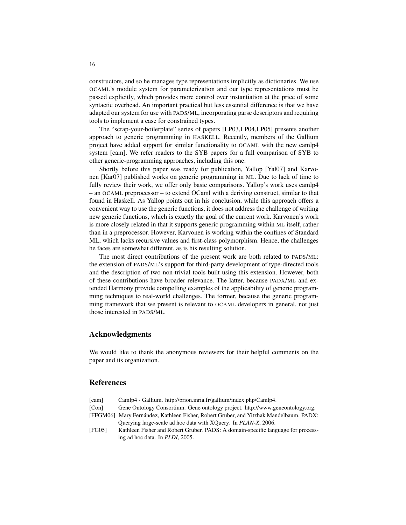constructors, and so he manages type representations implicitly as dictionaries. We use OCAML's module system for parameterization and our type representations must be passed explicitly, which provides more control over instantiation at the price of some syntactic overhead. An important practical but less essential difference is that we have adapted our system for use with PADS/ML, incorporating parse descriptors and requiring tools to implement a case for constrained types.

The "scrap-your-boilerplate" series of papers [LP03,LP04,LP05] presents another approach to generic programming in HASKELL. Recently, members of the Gallium project have added support for similar functionality to OCAML with the new camlp4 system [cam]. We refer readers to the SYB papers for a full comparison of SYB to other generic-programming approaches, including this one.

Shortly before this paper was ready for publication, Yallop [Yal07] and Karvonen [Kar07] published works on generic programming in ML. Due to lack of time to fully review their work, we offer only basic comparisons. Yallop's work uses camlp4 – an OCAML preprocessor – to extend OCaml with a deriving construct, similar to that found in Haskell. As Yallop points out in his conclusion, while this approach offers a convenient way to use the generic functions, it does not address the challenge of writing new generic functions, which is exactly the goal of the current work. Karvonen's work is more closely related in that it supports generic programming within ML itself, rather than in a preprocessor. However, Karvonen is working within the confines of Standard ML, which lacks recursive values and first-class polymorphism. Hence, the challenges he faces are somewhat different, as is his resulting solution.

The most direct contributions of the present work are both related to PADS/ML: the extension of PADS/ML's support for third-party development of type-directed tools and the description of two non-trivial tools built using this extension. However, both of these contributions have broader relevance. The latter, because PADX/ML and extended Harmony provide compelling examples of the applicability of generic programming techniques to real-world challenges. The former, because the generic programming framework that we present is relevant to OCAML developers in general, not just those interested in PADS/ML.

## Acknowledgments

We would like to thank the anonymous reviewers for their helpful comments on the paper and its organization.

## References

| [cam]  | Camlp4 - Gallium. http://brion.inria.fr/gallium/index.php/Camlp4.                      |  |
|--------|----------------------------------------------------------------------------------------|--|
| [Con]  | Gene Ontology Consortium. Gene ontology project. http://www.geneontology.org.          |  |
|        | [FFGM06] Mary Fernández, Kathleen Fisher, Robert Gruber, and Yitzhak Mandelbaum. PADX: |  |
|        | Ouerving large-scale ad hoc data with XOuery. In <i>PLAN-X</i> , 2006.                 |  |
| [FG05] | Kathleen Fisher and Robert Gruber. PADS: A domain-specific language for process-       |  |
|        | ing ad hoc data. In <i>PLDI</i> , 2005.                                                |  |